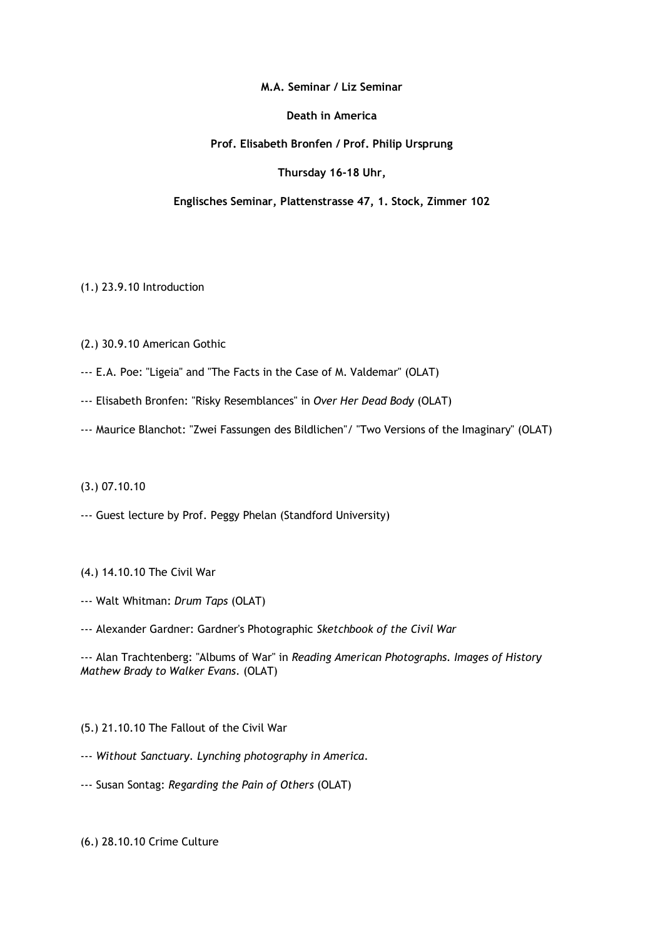**M.A. Seminar / Liz Seminar**

**Death in America**

# **Prof. Elisabeth Bronfen / Prof. Philip Ursprung**

**Thursday 16-18 Uhr,**

# **Englisches Seminar, Plattenstrasse 47, 1. Stock, Zimmer 102**

(1.) 23.9.10 Introduction

(2.) 30.9.10 American Gothic

--- E.A. Poe: "Ligeia" and "The Facts in the Case of M. Valdemar" (OLAT)

- --- Elisabeth Bronfen: "Risky Resemblances" in *Over Her Dead Body* (OLAT)
- --- Maurice Blanchot: "Zwei Fassungen des Bildlichen"/ "Two Versions of the Imaginary" (OLAT)

### (3.) 07.10.10

--- Guest lecture by Prof. Peggy Phelan (Standford University)

### (4.) 14.10.10 The Civil War

- --- Walt Whitman: *Drum Taps* (OLAT)
- --- Alexander Gardner: Gardner's Photographic *Sketchbook of the Civil War*

--- Alan Trachtenberg: "Albums of War" in *Reading American Photographs. Images of History Mathew Brady to Walker Evans*. (OLAT)

### (5.) 21.10.10 The Fallout of the Civil War

- --- *Without Sanctuary. Lynching photography in America*.
- --- Susan Sontag: *Regarding the Pain of Others* (OLAT)

# (6.) 28.10.10 Crime Culture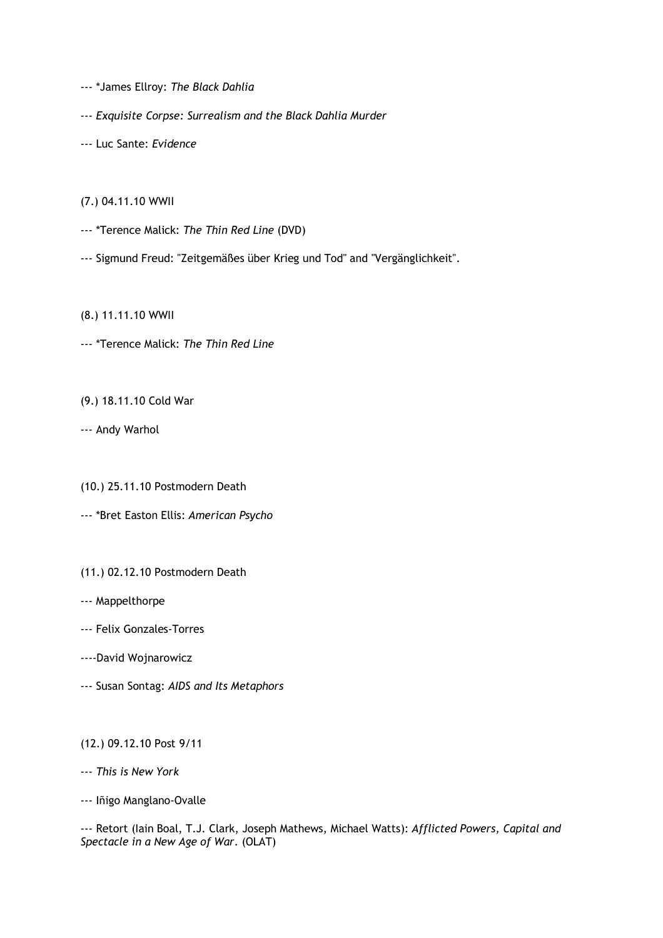--- \*James Ellroy: *The Black Dahlia*

--- *Exquisite Corpse: Surrealism and the Black Dahlia Murder*

--- Luc Sante: *Evidence*

(7.) 04.11.10 WWII

--- \*Terence Malick: *The Thin Red Line* (DVD)

--- Sigmund Freud: "Zeitgemäßes über Krieg und Tod" and "Vergänglichkeit".

(8.) 11.11.10 WWII

--- \*Terence Malick: *The Thin Red Line*

(9.) 18.11.10 Cold War

--- Andy Warhol

(10.) 25.11.10 Postmodern Death

--- \*Bret Easton Ellis: *American Psycho*

(11.) 02.12.10 Postmodern Death

--- Mappelthorpe

--- Felix Gonzales-Torres

----David Wojnarowicz

--- Susan Sontag: *AIDS and Its Metaphors*

(12.) 09.12.10 Post 9/11

--- *This is New York*

--- Iñigo Manglano-Ovalle

--- Retort (Iain Boal, T.J. Clark, Joseph Mathews, Michael Watts): *Afflicted Powers, Capital and Spectacle in a New Age of War*. (OLAT)